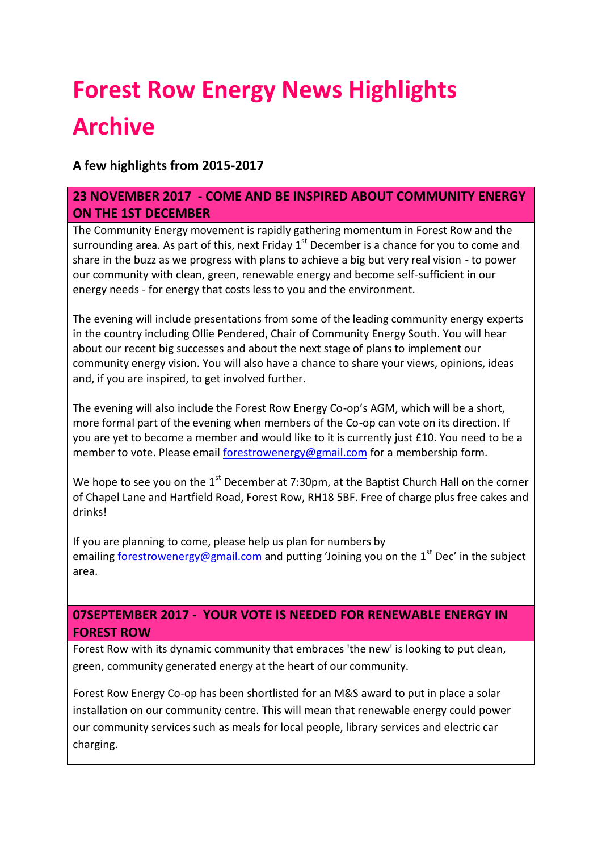# **Forest Row Energy News Highlights Archive**

# **A few highlights from 2015-2017**

### **23 NOVEMBER 2017 - COME AND BE INSPIRED ABOUT COMMUNITY ENERGY ON THE 1ST DECEMBER**

The Community Energy movement is rapidly gathering momentum in Forest Row and the surrounding area. As part of this, next Friday  $1<sup>st</sup>$  December is a chance for you to come and share in the buzz as we progress with plans to achieve a big but very real vision - to power our community with clean, green, renewable energy and become self-sufficient in our energy needs - for energy that costs less to you and the environment.

The evening will include presentations from some of the leading community energy experts in the country including Ollie Pendered, Chair of Community Energy South. You will hear about our recent big successes and about the next stage of plans to implement our community energy vision. You will also have a chance to share your views, opinions, ideas and, if you are inspired, to get involved further.

The evening will also include the Forest Row Energy Co-op's AGM, which will be a short, more formal part of the evening when members of the Co-op can vote on its direction. If you are yet to become a member and would like to it is currently just £10. You need to be a member to vote. Please email [forestrowenergy@gmail.com](mailto:forestrowenergy@gmail.com) for a membership form.

We hope to see you on the  $1<sup>st</sup>$  December at 7:30pm, at the Baptist Church Hall on the corner of Chapel Lane and Hartfield Road, Forest Row, RH18 5BF. Free of charge plus free cakes and drinks!

If you are planning to come, please help us plan for numbers by emailing [forestrowenergy@gmail.com](mailto:forestrowenergy@gmail.com) and putting 'Joining you on the  $1<sup>st</sup>$  Dec' in the subject area.

### **07SEPTEMBER 2017 - YOUR VOTE IS NEEDED FOR RENEWABLE ENERGY IN FOREST ROW**

Forest Row with its dynamic community that embraces 'the new' is looking to put clean, green, community generated energy at the heart of our community.

Forest Row Energy Co-op has been shortlisted for an M&S award to put in place a solar installation on our community centre. This will mean that renewable energy could power our community services such as meals for local people, library services and electric car charging.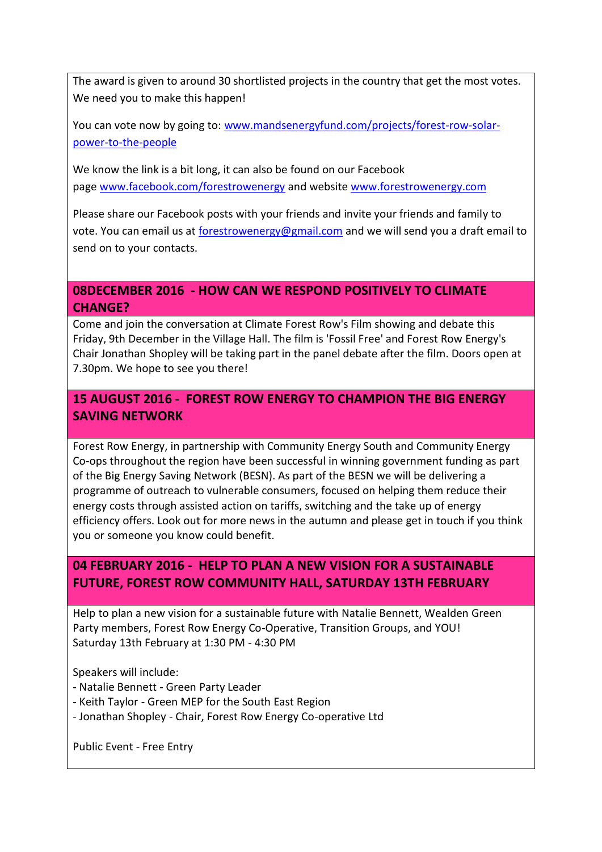The award is given to around 30 shortlisted projects in the country that get the most votes. We need you to make this happen!

You can vote now by going to: [www.mandsenergyfund.com/projects/forest-row-solar](https://www.mandsenergyfund.com/projects/forest-row-solar-power-to-the-people)[power-to-the-people](https://www.mandsenergyfund.com/projects/forest-row-solar-power-to-the-people)

We know the link is a bit long, it can also be found on our Facebook page [www.facebook.com/forestrowenergy](http://www.facebook.com/forestrowenergy) and website [www.forestrowenergy.com](http://www.forestrowenergy.com/)

Please share our Facebook posts with your friends and invite your friends and family to vote. You can email us at [forestrowenergy@gmail.com](mailto:forestrowenergy@gmail.com) and we will send you a draft email to send on to your contacts.

#### **08DECEMBER 2016 - HOW CAN WE RESPOND POSITIVELY TO CLIMATE CHANGE?**

Come and join the conversation at Climate Forest Row's Film showing and debate this Friday, 9th December in the Village Hall. The film is 'Fossil Free' and Forest Row Energy's Chair Jonathan Shopley will be taking part in the panel debate after the film. Doors open at 7.30pm. We hope to see you there!

### **15 AUGUST 2016 - FOREST ROW ENERGY TO CHAMPION THE BIG ENERGY SAVING NETWORK**

Forest Row Energy, in partnership with Community Energy South and Community Energy Co-ops throughout the region have been successful in winning government funding as part of the Big Energy Saving Network (BESN). As part of the BESN we will be delivering a programme of outreach to vulnerable consumers, focused on helping them reduce their energy costs through assisted action on tariffs, switching and the take up of energy efficiency offers. Look out for more news in the autumn and please get in touch if you think you or someone you know could benefit.

#### **04 FEBRUARY 2016 - HELP TO PLAN A NEW VISION FOR A SUSTAINABLE FUTURE, FOREST ROW COMMUNITY HALL, SATURDAY 13TH FEBRUARY**

Help to plan a new vision for a sustainable future with Natalie Bennett, Wealden Green Party members, Forest Row Energy Co-Operative, Transition Groups, and YOU! Saturday 13th February at 1:30 PM - 4:30 PM

Speakers will include:

- Natalie Bennett Green Party Leader
- Keith Taylor Green MEP for the South East Region
- Jonathan Shopley Chair, Forest Row Energy Co-operative Ltd

Public Event - Free Entry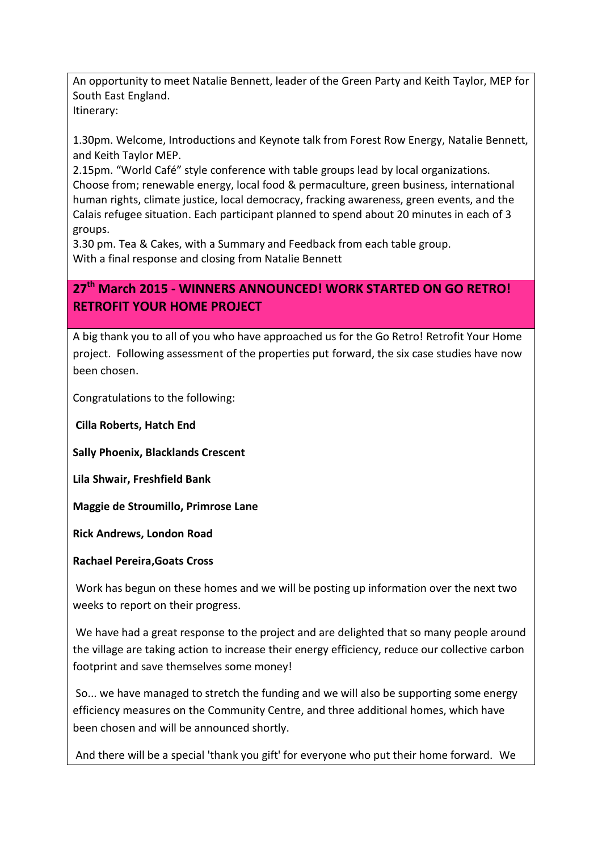An opportunity to meet Natalie Bennett, leader of the Green Party and Keith Taylor, MEP for South East England. Itinerary:

1.30pm. Welcome, Introductions and Keynote talk from Forest Row Energy, Natalie Bennett, and Keith Taylor MEP.

2.15pm. "World Café" style conference with table groups lead by local organizations. Choose from; renewable energy, local food & permaculture, green business, international human rights, climate justice, local democracy, fracking awareness, green events, and the Calais refugee situation. Each participant planned to spend about 20 minutes in each of 3 groups.

3.30 pm. Tea & Cakes, with a Summary and Feedback from each table group. With a final response and closing from Natalie Bennett

# **27th March 2015 - WINNERS ANNOUNCED! WORK STARTED ON GO RETRO! RETROFIT YOUR HOME PROJECT**

A big thank you to all of you who have approached us for the Go Retro! Retrofit Your Home project. Following assessment of the properties put forward, the six case studies have now been chosen.

Congratulations to the following:

**Cilla Roberts, Hatch End**

**Sally Phoenix, Blacklands Crescent**

**Lila Shwair, Freshfield Bank**

**Maggie de Stroumillo, Primrose Lane**

**Rick Andrews, London Road**

#### **Rachael Pereira,Goats Cross**

Work has begun on these homes and we will be posting up information over the next two weeks to report on their progress.

We have had a great response to the project and are delighted that so many people around the village are taking action to increase their energy efficiency, reduce our collective carbon footprint and save themselves some money!

So... we have managed to stretch the funding and we will also be supporting some energy efficiency measures on the Community Centre, and three additional homes, which have been chosen and will be announced shortly.

And there will be a special 'thank you gift' for everyone who put their home forward. We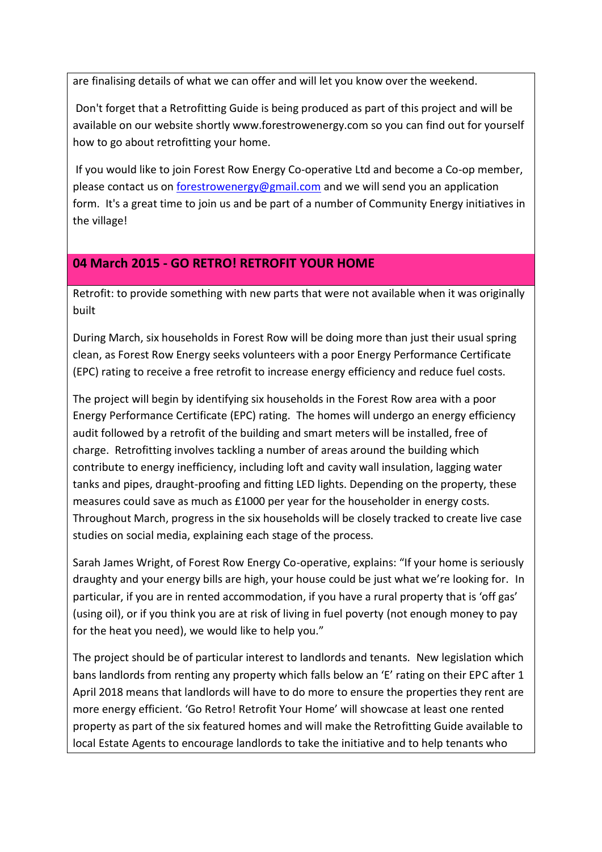are finalising details of what we can offer and will let you know over the weekend.

Don't forget that a Retrofitting Guide is being produced as part of this project and will be available on our website shortly www.forestrowenergy.com so you can find out for yourself how to go about retrofitting your home.

If you would like to join Forest Row Energy Co-operative Ltd and become a Co-op member, please contact us on [forestrowenergy@gmail.com](mailto:forestrowenergy@gmail.com) and we will send you an application form. It's a great time to join us and be part of a number of Community Energy initiatives in the village!

# **04 March 2015 - GO RETRO! RETROFIT YOUR HOME**

Retrofit: to provide something with new parts that were not available when it was originally built

During March, six households in Forest Row will be doing more than just their usual spring clean, as Forest Row Energy seeks volunteers with a poor Energy Performance Certificate (EPC) rating to receive a free retrofit to increase energy efficiency and reduce fuel costs.

The project will begin by identifying six households in the Forest Row area with a poor Energy Performance Certificate (EPC) rating. The homes will undergo an energy efficiency audit followed by a retrofit of the building and smart meters will be installed, free of charge. Retrofitting involves tackling a number of areas around the building which contribute to energy inefficiency, including loft and cavity wall insulation, lagging water tanks and pipes, draught-proofing and fitting LED lights. Depending on the property, these measures could save as much as £1000 per year for the householder in energy costs. Throughout March, progress in the six households will be closely tracked to create live case studies on social media, explaining each stage of the process.

Sarah James Wright, of Forest Row Energy Co-operative, explains: "If your home is seriously draughty and your energy bills are high, your house could be just what we're looking for. In particular, if you are in rented accommodation, if you have a rural property that is 'off gas' (using oil), or if you think you are at risk of living in fuel poverty (not enough money to pay for the heat you need), we would like to help you."

The project should be of particular interest to landlords and tenants. New legislation which bans landlords from renting any property which falls below an 'E' rating on their EPC after 1 April 2018 means that landlords will have to do more to ensure the properties they rent are more energy efficient. 'Go Retro! Retrofit Your Home' will showcase at least one rented property as part of the six featured homes and will make the Retrofitting Guide available to local Estate Agents to encourage landlords to take the initiative and to help tenants who